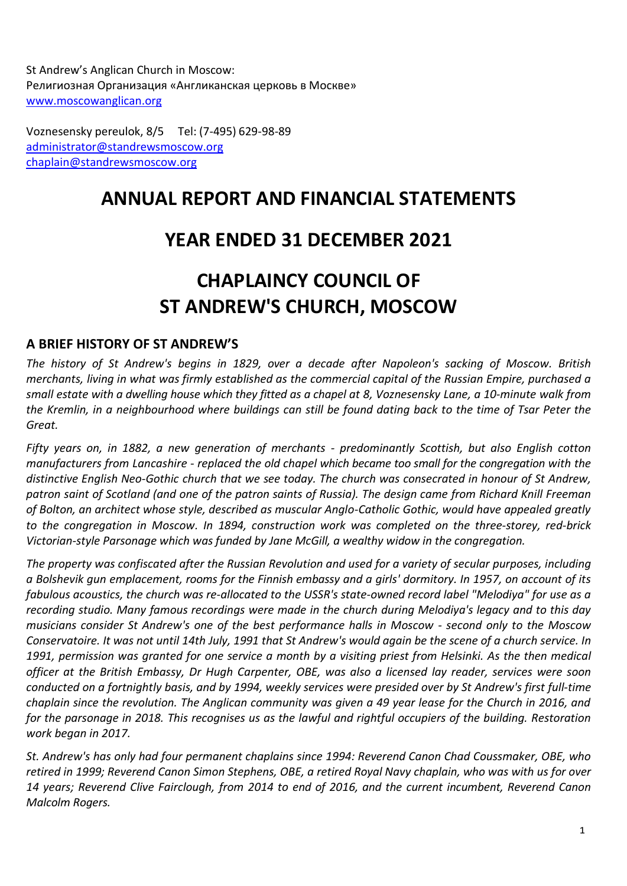St Andrew's Anglican Church in Moscow: Религиозная Организация «Англиканская церковь в Москве» [www.moscowanglican.org](http://www.moscowanglican.org/)

Voznesensky pereulok, 8/5 Tel: (7-495) 629-98-89 [administrator@standrewsmoscow.org](mailto:administrator@standrewsmoscow.org) [chaplain@standrewsmoscow.org](mailto:chaplain@standrewsmoscow.org)

## **ANNUAL REPORT AND FINANCIAL STATEMENTS**

## **YEAR ENDED 31 DECEMBER 2021**

# **CHAPLAINCY COUNCIL OF ST ANDREW'S CHURCH, MOSCOW**

## **A BRIEF HISTORY OF ST ANDREW'S**

*The history of St Andrew's begins in 1829, over a decade after Napoleon's sacking of Moscow. British* merchants, living in what was firmly established as the commercial capital of the Russian Empire, purchased a *small estate with a dwelling house which they fitted as a chapel at 8, Voznesensky Lane, a 10-minute walk from* the Kremlin, in a neighbourhood where buildings can still be found dating back to the time of Tsar Peter the *Great.*

*Fifty years on, in 1882, a new generation of merchants - predominantly Scottish, but also English cotton manufacturers from Lancashire - replaced the old chapel which became too small for the congregation with the distinctive English Neo-Gothic church that we see today. The church was consecrated in honour of St Andrew, patron saint of Scotland (and one of the patron saints of Russia). The design came from Richard Knill Freeman of Bolton, an architect whose style, described as muscular Anglo-Catholic Gothic, would have appealed greatly to the congregation in Moscow. In 1894, construction work was completed on the three-storey, red-brick Victorian-style Parsonage which was funded by Jane McGill, a wealthy widow in the congregation.*

*The property was confiscated after the Russian Revolution and used for a variety of secular purposes, including a Bolshevik gun emplacement, rooms for the Finnish embassy and a girls' dormitory. In 1957, on account of its fabulous acoustics, the church was re-allocated to the USSR's state-owned record label "Melodiya" for use as a recording studio. Many famous recordings were made in the church during Melodiya's legacy and to this day musicians consider St Andrew's one of the best performance halls in Moscow - second only to the Moscow* Conservatoire. It was not until 14th July, 1991 that St Andrew's would again be the scene of a church service. In 1991, permission was granted for one service a month by a visiting priest from Helsinki. As the then medical *officer at the British Embassy, Dr Hugh Carpenter, OBE, was also a licensed lay reader, services were soon conducted on a fortnightly basis, and by 1994, weekly services were presided over by St Andrew's first full-time chaplain since the revolution. The Anglican community was given a 49 year lease for the Church in 2016, and*  for the parsonage in 2018. This recognises us as the lawful and rightful occupiers of the building. Restoration *work began in 2017.* 

*St. Andrew's has only had four permanent chaplains since 1994: Reverend Canon Chad Coussmaker, OBE, who* retired in 1999; Reverend Canon Simon Stephens, OBE, a retired Royal Navy chaplain, who was with us for over *14 years; Reverend Clive Fairclough, from 2014 to end of 2016, and the current incumbent, Reverend Canon Malcolm Rogers.*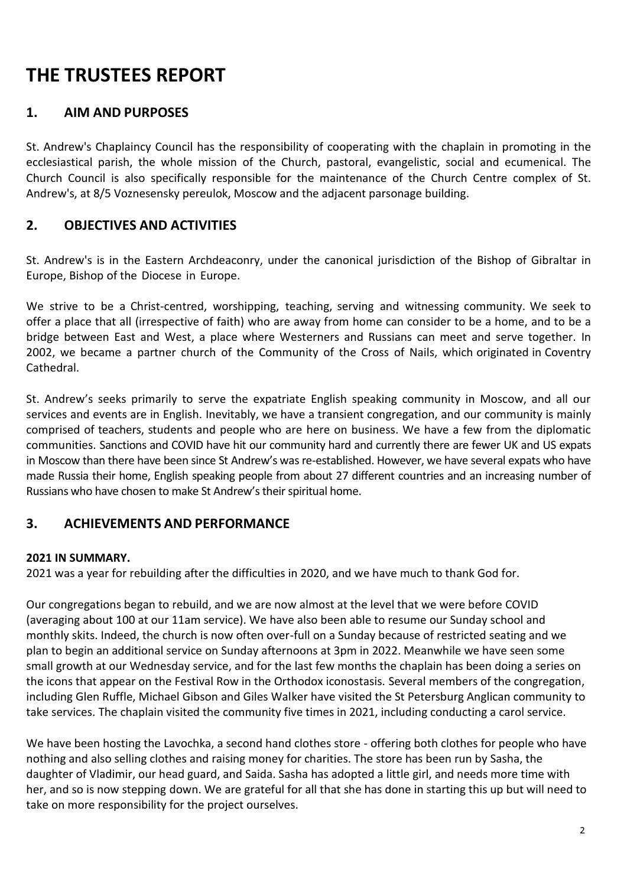# **THE TRUSTEES REPORT**

## **1. AIM AND PURPOSES**

St. Andrew's Chaplaincy Council has the responsibility of cooperating with the chaplain in promoting in the ecclesiastical parish, the whole mission of the Church, pastoral, evangelistic, social and ecumenical. The Church Council is also specifically responsible for the maintenance of the Church Centre complex of St. Andrew's, at 8/5 Voznesensky pereulok, Moscow and the adjacent parsonage building.

## **2. OBJECTIVES AND ACTIVITIES**

St. Andrew's is in the Eastern Archdeaconry, under the canonical jurisdiction of the Bishop of Gibraltar in Europe, Bishop of the Diocese in Europe.

We strive to be a Christ-centred, worshipping, teaching, serving and witnessing community. We seek to offer a place that all (irrespective of faith) who are away from home can consider to be a home, and to be a bridge between East and West, a place where Westerners and Russians can meet and serve together. In 2002, we became a partner church of the Community of the Cross of Nails, which originated in Coventry Cathedral.

St. Andrew's seeks primarily to serve the expatriate English speaking community in Moscow, and all our services and events are in English. Inevitably, we have a transient congregation, and our community is mainly comprised of teachers, students and people who are here on business. We have a few from the diplomatic communities. Sanctions and COVID have hit our community hard and currently there are fewer UK and US expats in Moscow than there have been since St Andrew's was re-established. However, we have several expats who have made Russia their home, English speaking people from about 27 different countries and an increasing number of Russians who have chosen to make St Andrew's their spiritual home.

## **3. ACHIEVEMENTS AND PERFORMANCE**

#### **2021 IN SUMMARY.**

2021 was a year for rebuilding after the difficulties in 2020, and we have much to thank God for.

Our congregations began to rebuild, and we are now almost at the level that we were before COVID (averaging about 100 at our 11am service). We have also been able to resume our Sunday school and monthly skits. Indeed, the church is now often over-full on a Sunday because of restricted seating and we plan to begin an additional service on Sunday afternoons at 3pm in 2022. Meanwhile we have seen some small growth at our Wednesday service, and for the last few months the chaplain has been doing a series on the icons that appear on the Festival Row in the Orthodox iconostasis. Several members of the congregation, including Glen Ruffle, Michael Gibson and Giles Walker have visited the St Petersburg Anglican community to take services. The chaplain visited the community five times in 2021, including conducting a carol service.

We have been hosting the Lavochka, a second hand clothes store - offering both clothes for people who have nothing and also selling clothes and raising money for charities. The store has been run by Sasha, the daughter of Vladimir, our head guard, and Saida. Sasha has adopted a little girl, and needs more time with her, and so is now stepping down. We are grateful for all that she has done in starting this up but will need to take on more responsibility for the project ourselves.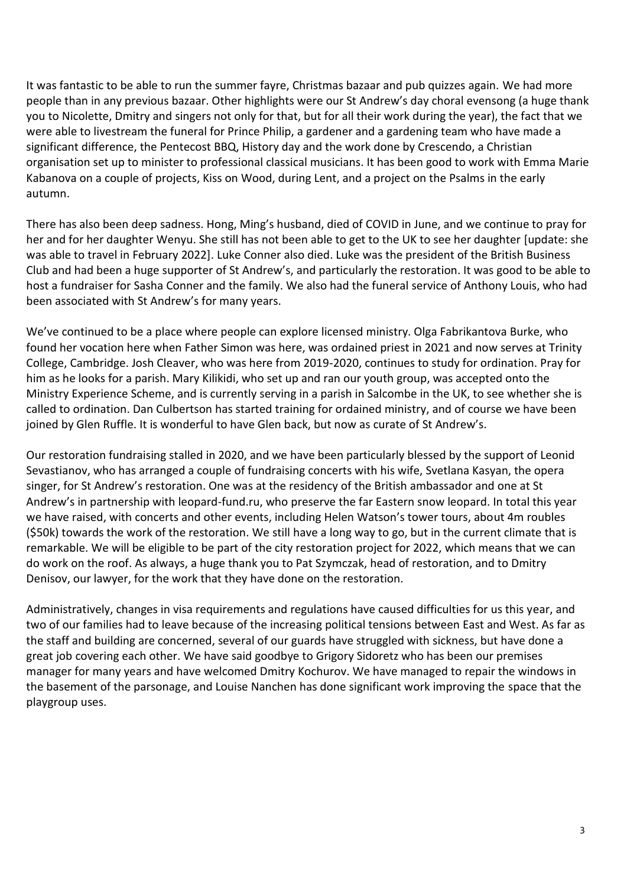It was fantastic to be able to run the summer fayre, Christmas bazaar and pub quizzes again. We had more people than in any previous bazaar. Other highlights were our St Andrew's day choral evensong (a huge thank you to Nicolette, Dmitry and singers not only for that, but for all their work during the year), the fact that we were able to livestream the funeral for Prince Philip, a gardener and a gardening team who have made a significant difference, the Pentecost BBQ, History day and the work done by Crescendo, a Christian organisation set up to minister to professional classical musicians. It has been good to work with Emma Marie Kabanova on a couple of projects, Kiss on Wood, during Lent, and a project on the Psalms in the early autumn.

There has also been deep sadness. Hong, Ming's husband, died of COVID in June, and we continue to pray for her and for her daughter Wenyu. She still has not been able to get to the UK to see her daughter [update: she was able to travel in February 2022]. Luke Conner also died. Luke was the president of the British Business Club and had been a huge supporter of St Andrew's, and particularly the restoration. It was good to be able to host a fundraiser for Sasha Conner and the family. We also had the funeral service of Anthony Louis, who had been associated with St Andrew's for many years.

We've continued to be a place where people can explore licensed ministry. Olga Fabrikantova Burke, who found her vocation here when Father Simon was here, was ordained priest in 2021 and now serves at Trinity College, Cambridge. Josh Cleaver, who was here from 2019-2020, continues to study for ordination. Pray for him as he looks for a parish. Mary Kilikidi, who set up and ran our youth group, was accepted onto the Ministry Experience Scheme, and is currently serving in a parish in Salcombe in the UK, to see whether she is called to ordination. Dan Culbertson has started training for ordained ministry, and of course we have been joined by Glen Ruffle. It is wonderful to have Glen back, but now as curate of St Andrew's.

Our restoration fundraising stalled in 2020, and we have been particularly blessed by the support of Leonid Sevastianov, who has arranged a couple of fundraising concerts with his wife, Svetlana Kasyan, the opera singer, for St Andrew's restoration. One was at the residency of the British ambassador and one at St Andrew's in partnership with leopard-fund.ru, who preserve the far Eastern snow leopard. In total this year we have raised, with concerts and other events, including Helen Watson's tower tours, about 4m roubles (\$50k) towards the work of the restoration. We still have a long way to go, but in the current climate that is remarkable. We will be eligible to be part of the city restoration project for 2022, which means that we can do work on the roof. As always, a huge thank you to Pat Szymczak, head of restoration, and to Dmitry Denisov, our lawyer, for the work that they have done on the restoration.

Administratively, changes in visa requirements and regulations have caused difficulties for us this year, and two of our families had to leave because of the increasing political tensions between East and West. As far as the staff and building are concerned, several of our guards have struggled with sickness, but have done a great job covering each other. We have said goodbye to Grigory Sidoretz who has been our premises manager for many years and have welcomed Dmitry Kochurov. We have managed to repair the windows in the basement of the parsonage, and Louise Nanchen has done significant work improving the space that the playgroup uses.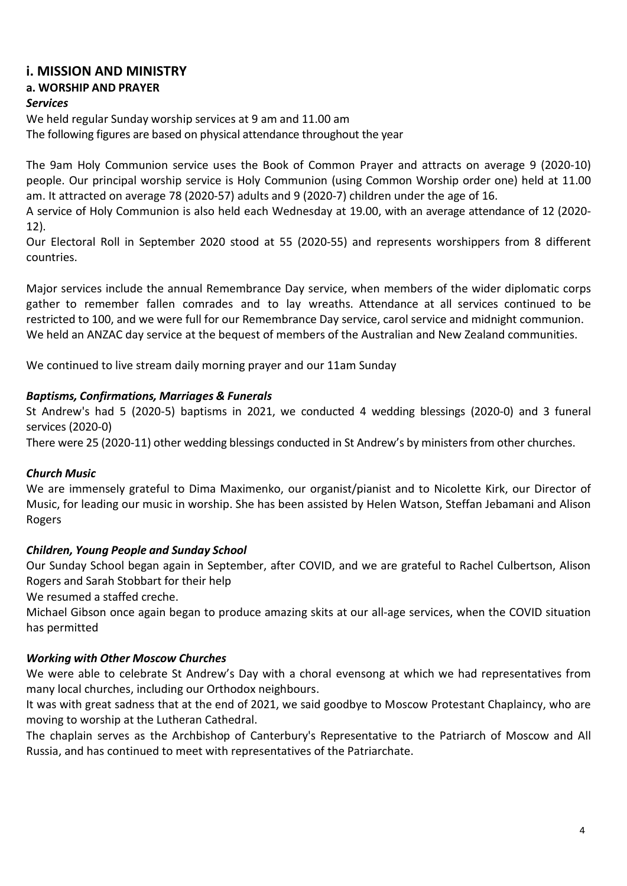## **i. MISSION AND MINISTRY**

## **a. WORSHIP AND PRAYER**

#### *Services*

We held regular Sunday worship services at 9 am and 11.00 am

The following figures are based on physical attendance throughout the year

The 9am Holy Communion service uses the Book of Common Prayer and attracts on average 9 (2020-10) people. Our principal worship service is Holy Communion (using Common Worship order one) held at 11.00 am. It attracted on average 78 (2020-57) adults and 9 (2020-7) children under the age of 16.

A service of Holy Communion is also held each Wednesday at 19.00, with an average attendance of 12 (2020- 12).

Our Electoral Roll in September 2020 stood at 55 (2020-55) and represents worshippers from 8 different countries.

Major services include the annual Remembrance Day service, when members of the wider diplomatic corps gather to remember fallen comrades and to lay wreaths. Attendance at all services continued to be restricted to 100, and we were full for our Remembrance Day service, carol service and midnight communion. We held an ANZAC day service at the bequest of members of the Australian and New Zealand communities.

We continued to live stream daily morning prayer and our 11am Sunday

#### *Baptisms, Confirmations, Marriages & Funerals*

St Andrew's had 5 (2020-5) baptisms in 2021, we conducted 4 wedding blessings (2020-0) and 3 funeral services (2020-0)

There were 25 (2020-11) other wedding blessings conducted in St Andrew's by ministers from other churches.

#### *Church Music*

We are immensely grateful to Dima Maximenko, our organist/pianist and to Nicolette Kirk, our Director of Music, for leading our music in worship. She has been assisted by Helen Watson, Steffan Jebamani and Alison Rogers

#### *Children, Young People and Sunday School*

Our Sunday School began again in September, after COVID, and we are grateful to Rachel Culbertson, Alison Rogers and Sarah Stobbart for their help

We resumed a staffed creche.

Michael Gibson once again began to produce amazing skits at our all-age services, when the COVID situation has permitted

#### *Working with Other Moscow Churches*

We were able to celebrate St Andrew's Day with a choral evensong at which we had representatives from many local churches, including our Orthodox neighbours.

It was with great sadness that at the end of 2021, we said goodbye to Moscow Protestant Chaplaincy, who are moving to worship at the Lutheran Cathedral.

The chaplain serves as the Archbishop of Canterbury's Representative to the Patriarch of Moscow and All Russia, and has continued to meet with representatives of the Patriarchate.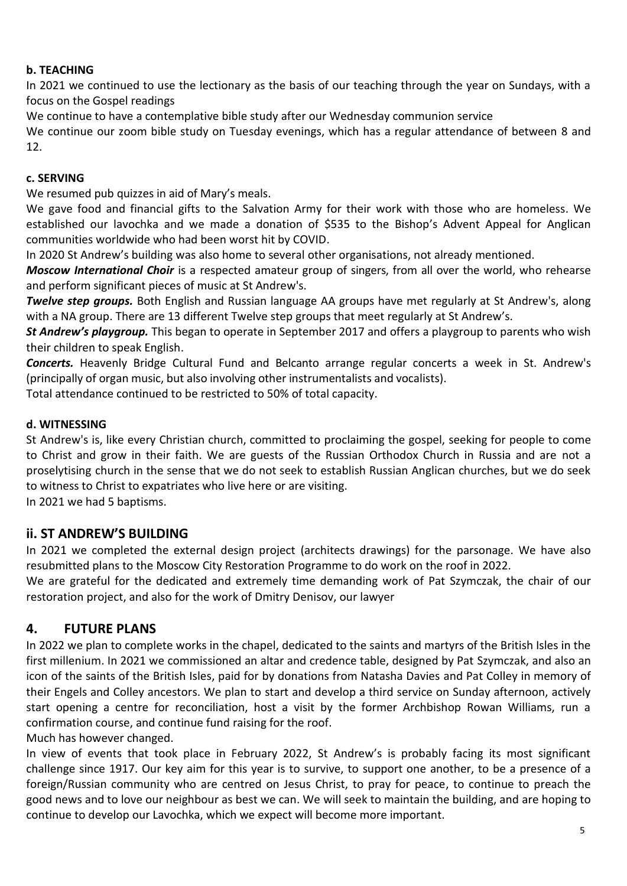## **b. TEACHING**

In 2021 we continued to use the lectionary as the basis of our teaching through the year on Sundays, with a focus on the Gospel readings

We continue to have a contemplative bible study after our Wednesday communion service

We continue our zoom bible study on Tuesday evenings, which has a regular attendance of between 8 and 12.

#### **c. SERVING**

We resumed pub quizzes in aid of Mary's meals.

We gave food and financial gifts to the Salvation Army for their work with those who are homeless. We established our lavochka and we made a donation of \$535 to the Bishop's Advent Appeal for Anglican communities worldwide who had been worst hit by COVID.

In 2020 St Andrew's building was also home to several other organisations, not already mentioned.

*Moscow International Choir* is a respected amateur group of singers, from all over the world, who rehearse and perform significant pieces of music at St Andrew's.

*Twelve step groups.* Both English and Russian language AA groups have met regularly at St Andrew's, along with a NA group. There are 13 different Twelve step groups that meet regularly at St Andrew's.

*St Andrew's playgroup.* This began to operate in September 2017 and offers a playgroup to parents who wish their children to speak English.

*Concerts.* Heavenly Bridge Cultural Fund and Belcanto arrange regular concerts a week in St. Andrew's (principally of organ music, but also involving other instrumentalists and vocalists).

Total attendance continued to be restricted to 50% of total capacity.

#### **d. WITNESSING**

St Andrew's is, like every Christian church, committed to proclaiming the gospel, seeking for people to come to Christ and grow in their faith. We are guests of the Russian Orthodox Church in Russia and are not a proselytising church in the sense that we do not seek to establish Russian Anglican churches, but we do seek to witness to Christ to expatriates who live here or are visiting.

In 2021 we had 5 baptisms.

## **ii. ST ANDREW'S BUILDING**

In 2021 we completed the external design project (architects drawings) for the parsonage. We have also resubmitted plans to the Moscow City Restoration Programme to do work on the roof in 2022.

We are grateful for the dedicated and extremely time demanding work of Pat Szymczak, the chair of our restoration project, and also for the work of Dmitry Denisov, our lawyer

## **4. FUTURE PLANS**

In 2022 we plan to complete works in the chapel, dedicated to the saints and martyrs of the British Isles in the first millenium. In 2021 we commissioned an altar and credence table, designed by Pat Szymczak, and also an icon of the saints of the British Isles, paid for by donations from Natasha Davies and Pat Colley in memory of their Engels and Colley ancestors. We plan to start and develop a third service on Sunday afternoon, actively start opening a centre for reconciliation, host a visit by the former Archbishop Rowan Williams, run a confirmation course, and continue fund raising for the roof.

Much has however changed.

In view of events that took place in February 2022, St Andrew's is probably facing its most significant challenge since 1917. Our key aim for this year is to survive, to support one another, to be a presence of a foreign/Russian community who are centred on Jesus Christ, to pray for peace, to continue to preach the good news and to love our neighbour as best we can. We will seek to maintain the building, and are hoping to continue to develop our Lavochka, which we expect will become more important.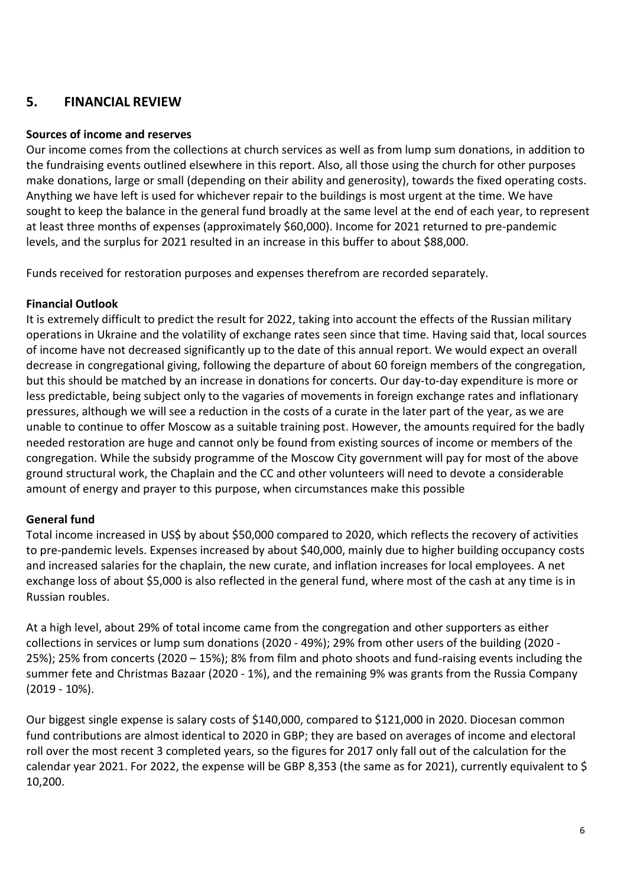## **5. FINANCIAL REVIEW**

#### **Sources of income and reserves**

Our income comes from the collections at church services as well as from lump sum donations, in addition to the fundraising events outlined elsewhere in this report. Also, all those using the church for other purposes make donations, large or small (depending on their ability and generosity), towards the fixed operating costs. Anything we have left is used for whichever repair to the buildings is most urgent at the time. We have sought to keep the balance in the general fund broadly at the same level at the end of each year, to represent at least three months of expenses (approximately \$60,000). Income for 2021 returned to pre-pandemic levels, and the surplus for 2021 resulted in an increase in this buffer to about \$88,000.

Funds received for restoration purposes and expenses therefrom are recorded separately.

## **Financial Outlook**

It is extremely difficult to predict the result for 2022, taking into account the effects of the Russian military operations in Ukraine and the volatility of exchange rates seen since that time. Having said that, local sources of income have not decreased significantly up to the date of this annual report. We would expect an overall decrease in congregational giving, following the departure of about 60 foreign members of the congregation, but this should be matched by an increase in donations for concerts. Our day-to-day expenditure is more or less predictable, being subject only to the vagaries of movements in foreign exchange rates and inflationary pressures, although we will see a reduction in the costs of a curate in the later part of the year, as we are unable to continue to offer Moscow as a suitable training post. However, the amounts required for the badly needed restoration are huge and cannot only be found from existing sources of income or members of the congregation. While the subsidy programme of the Moscow City government will pay for most of the above ground structural work, the Chaplain and the CC and other volunteers will need to devote a considerable amount of energy and prayer to this purpose, when circumstances make this possible

#### **General fund**

Total income increased in US\$ by about \$50,000 compared to 2020, which reflects the recovery of activities to pre-pandemic levels. Expenses increased by about \$40,000, mainly due to higher building occupancy costs and increased salaries for the chaplain, the new curate, and inflation increases for local employees. A net exchange loss of about \$5,000 is also reflected in the general fund, where most of the cash at any time is in Russian roubles.

At a high level, about 29% of total income came from the congregation and other supporters as either collections in services or lump sum donations (2020 - 49%); 29% from other users of the building (2020 - 25%); 25% from concerts (2020 – 15%); 8% from film and photo shoots and fund-raising events including the summer fete and Christmas Bazaar (2020 - 1%), and the remaining 9% was grants from the Russia Company (2019 - 10%).

Our biggest single expense is salary costs of \$140,000, compared to \$121,000 in 2020. Diocesan common fund contributions are almost identical to 2020 in GBP; they are based on averages of income and electoral roll over the most recent 3 completed years, so the figures for 2017 only fall out of the calculation for the calendar year 2021. For 2022, the expense will be GBP 8,353 (the same as for 2021), currently equivalent to \$ 10,200.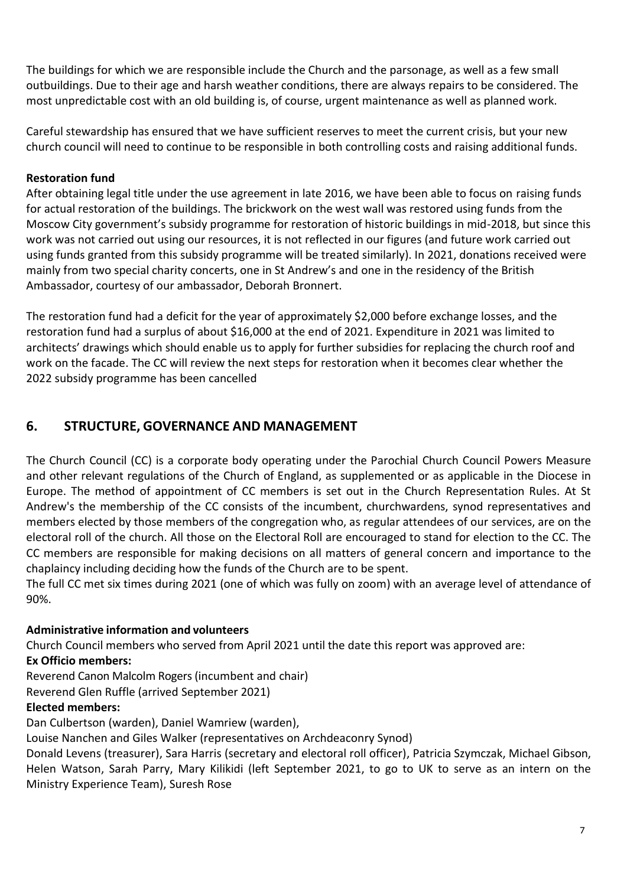The buildings for which we are responsible include the Church and the parsonage, as well as a few small outbuildings. Due to their age and harsh weather conditions, there are always repairs to be considered. The most unpredictable cost with an old building is, of course, urgent maintenance as well as planned work.

Careful stewardship has ensured that we have sufficient reserves to meet the current crisis, but your new church council will need to continue to be responsible in both controlling costs and raising additional funds.

#### **Restoration fund**

After obtaining legal title under the use agreement in late 2016, we have been able to focus on raising funds for actual restoration of the buildings. The brickwork on the west wall was restored using funds from the Moscow City government's subsidy programme for restoration of historic buildings in mid-2018, but since this work was not carried out using our resources, it is not reflected in our figures (and future work carried out using funds granted from this subsidy programme will be treated similarly). In 2021, donations received were mainly from two special charity concerts, one in St Andrew's and one in the residency of the British Ambassador, courtesy of our ambassador, Deborah Bronnert.

The restoration fund had a deficit for the year of approximately \$2,000 before exchange losses, and the restoration fund had a surplus of about \$16,000 at the end of 2021. Expenditure in 2021 was limited to architects' drawings which should enable us to apply for further subsidies for replacing the church roof and work on the facade. The CC will review the next steps for restoration when it becomes clear whether the 2022 subsidy programme has been cancelled

## **6. STRUCTURE, GOVERNANCE AND MANAGEMENT**

The Church Council (CC) is a corporate body operating under the Parochial Church Council Powers Measure and other relevant regulations of the Church of England, as supplemented or as applicable in the Diocese in Europe. The method of appointment of CC members is set out in the Church Representation Rules. At St Andrew's the membership of the CC consists of the incumbent, churchwardens, synod representatives and members elected by those members of the congregation who, as regular attendees of our services, are on the electoral roll of the church. All those on the Electoral Roll are encouraged to stand for election to the CC. The CC members are responsible for making decisions on all matters of general concern and importance to the chaplaincy including deciding how the funds of the Church are to be spent.

The full CC met six times during 2021 (one of which was fully on zoom) with an average level of attendance of 90%.

## **Administrative information and volunteers**

Church Council members who served from April 2021 until the date this report was approved are:

#### **Ex Officio members:**

Reverend Canon Malcolm Rogers(incumbent and chair)

Reverend Glen Ruffle (arrived September 2021)

## **Elected members:**

Dan Culbertson (warden), Daniel Wamriew (warden),

Louise Nanchen and Giles Walker (representatives on Archdeaconry Synod)

Donald Levens (treasurer), Sara Harris (secretary and electoral roll officer), Patricia Szymczak, Michael Gibson, Helen Watson, Sarah Parry, Mary Kilikidi (left September 2021, to go to UK to serve as an intern on the Ministry Experience Team), Suresh Rose